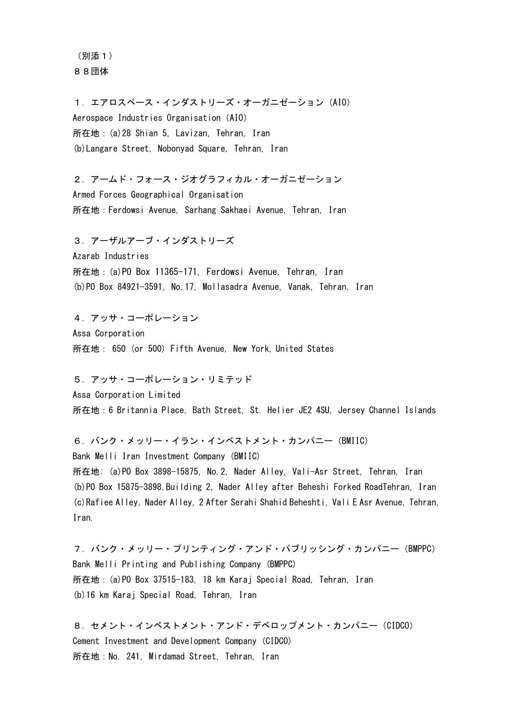(別添1) 88団体

1.エアロスペース・インダストリーズ・オーガニゼーション(AIO) Aerospace Industries Organisation (AIO) 所在地:(a)28 Shian 5, Lavizan, Tehran, Iran (b)Langare Street, Nobonyad Square, Tehran, Iran

2.アームド・フォース・ジオグラフィカル・オーガニゼーション Armed Forces Geographical Organisation 所在地:Ferdowsi Avenue, Sarhang Sakhaei Avenue, Tehran, Iran

3.アーザルアーブ・インダストリーズ Azarab Industries 所在地:(a)PO Box 11365-171, Ferdowsi Avenue, Tehran, Iran (b)PO Box 84921-3591, No.17, Mollasadra Avenue, Vanak, Tehran, Iran

4.アッサ・コーポレーション Assa Corporation 所在地: 650 (or 500) Fifth Avenue, New York, United States

5.アッサ・コーポレーション・リミテッド

Assa Corporation Limited 所在地:6 Britannia Place, Bath Street, St. Helier JE2 4SU, Jersey Channel Islands

6.バンク・メッリー・イラン・インベストメント・カンパニー(BMIIC) Bank Melli Iran Investment Company (BMIIC)

所在地: (a)PO Box 3898-15875, No.2, Nader Alley, Vali-Asr Street, Tehran, Iran (b)PO Box 15875-3898,Building 2, Nader Alley after Beheshi Forked RoadTehran, Iran (c)Rafiee Alley, Nader Alley, 2 After Serahi Shahid Beheshti, Vali E Asr Avenue, Tehran, Iran.

7.バンク・メッリー・プリンティング・アンド・パブリッシング・カンパニー(BMPPC) Bank Melli Printing and Publishing Company (BMPPC) 所在地:(a)PO Box 37515-183, 18 km Karaj Special Road, Tehran, Iran (b)16 km Karaj Special Road, Tehran, Iran

8.セメント・インベストメント・アンド・デベロップメント・カンパニー(CIDCO) Cement Investment and Development Company (CIDCO) 所在地:No. 241, Mirdamad Street, Tehran, Iran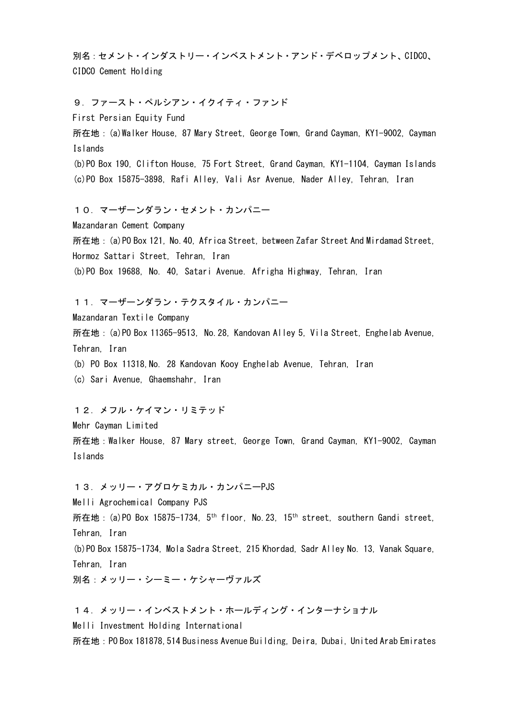別名:セメント・インダストリー・インベストメント・アンド・デベロップメント、CIDCO、 CIDCO Cement Holding

9.ファースト・ペルシアン・イクイティ・ファンド First Persian Equity Fund 所在地:(a)Walker House, 87 Mary Street, George Town, Grand Cayman, KY1-9002, Cayman Islands (b)PO Box 190, Clifton House, 75 Fort Street, Grand Cayman, KY1-1104, Cayman Islands (c)PO Box 15875-3898,Rafi Alley, Vali Asr Avenue, Nader Alley, Tehran, Iran 10.マーザーンダラン・セメント・カンパニー Mazandaran Cement Company 所在地:(a)PO Box 121, No.40, Africa Street, between Zafar Street And Mirdamad Street, Hormoz Sattari Street, Tehran, Iran (b)PO Box 19688, No. 40, Satari Avenue. Afrigha Highway, Tehran, Iran 11.マーザーンダラン・テクスタイル・カンパニー Mazandaran Textile Company 所在地:(a)PO Box 11365-9513,No.28, Kandovan Alley 5, Vila Street, Enghelab Avenue, Tehran, Iran (b) PO Box 11318,No. 28 Kandovan Kooy Enghelab Avenue, Tehran, Iran (c) Sari Avenue, Ghaemshahr, Iran 12.メフル・ケイマン・リミテッド Mehr Cayman Limited 所在地:Walker House, 87 Mary street, George Town, Grand Cayman, KY1-9002, Cayman Islands 13.メッリー・アグロケミカル・カンパニーPJS Melli Agrochemical Company PJS 所在地: (a)PO Box 15875-1734, 5<sup>th</sup> floor, No. 23, 15<sup>th</sup> street, southern Gandi street, Tehran, Iran (b)PO Box 15875-1734, Mola Sadra Street, 215 Khordad, Sadr Alley No. 13, Vanak Square, Tehran, Iran 別名:メッリー・シーミー・ケシャーヴァルズ 14.メッリー・インベストメント・ホールディング・インターナショナル Melli Investment Holding International

所在地:PO Box 181878,514 Business Avenue Building, Deira, Dubai, United Arab Emirates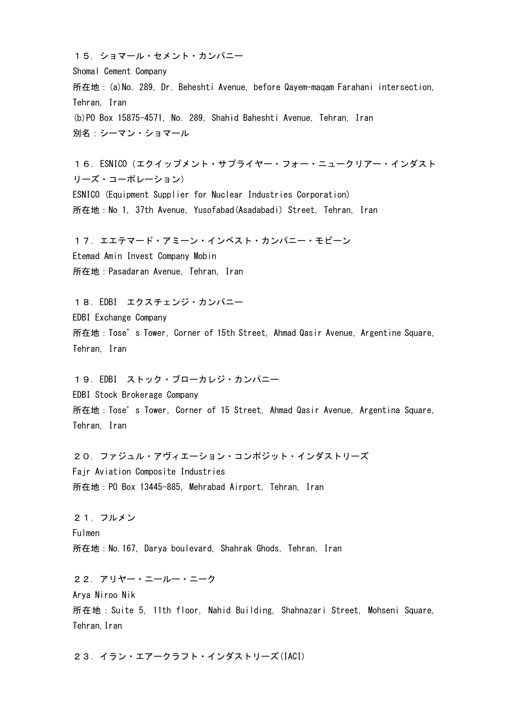15.ショマール・セメント・カンパニー Shomal Cement Company 所在地:(a)No. 289, Dr. Beheshti Avenue, before Qayem-maqam Farahani intersection, Tehran, Iran (b)PO Box 15875-4571, No. 289, Shahid Baheshti Avenue, Tehran, Iran 別名:シーマン・ショマール

16.ESNICO(エクイップメント・サプライヤー・フォー・ニュークリアー・インダスト リーズ・コーポレーション) ESNICO (Equipment Supplier for Nuclear Industries Corporation) 所在地:No 1, 37th Avenue, Yusofabad(Asadabadi) Street, Tehran, Iran

17.エエテマード・アミーン・インベスト・カンパニー・モビーン Etemad Amin Invest Company Mobin 所在地:Pasadaran Avenue, Tehran, Iran

18.EDBI エクスチェンジ・カンパニー EDBI Exchange Company 所在地:Tose's Tower, Corner of 15th Street, Ahmad Qasir Avenue, Argentine Square, Tehran, Iran

19.EDBI ストック・ブローカレジ・カンパニー EDBI Stock Brokerage Company 所在地:Tose's Tower, Corner of 15 Street, Ahmad Qasir Avenue, Argentina Square, Tehran, Iran

20.ファジュル・アヴィエーション・コンポジット・インダストリーズ Fajr Aviation Composite Industries 所在地:PO Box 13445-885, Mehrabad Airport, Tehran, Iran

21.フルメン Fulmen 所在地: No. 167, Darya boulevard, Shahrak Ghods, Tehran, Iran

22.アリヤー・ニールー・ニーク Arya Niroo Nik 所在地:Suite 5, 11th floor, Nahid Building, Shahnazari Street, Mohseni Square, Tehran, Iran

23.イラン・エアークラフト・インダストリーズ(IACI)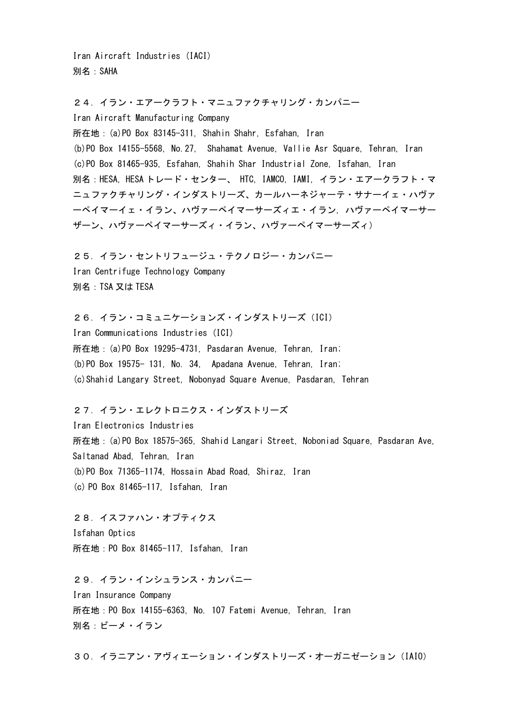Iran Aircraft Industries (IACI) 別名:SAHA

24.イラン・エアークラフト・マニュファクチャリング・カンパニー Iran Aircraft Manufacturing Company 所在地:(a)PO Box 83145-311, Shahin Shahr, Esfahan, Iran (b)PO Box 14155-5568, No.27, Shahamat Avenue, Vallie Asr Square, Tehran, Iran (c)PO Box 81465-935, Esfahan, Shahih Shar Industrial Zone, Isfahan, Iran 別名:HESA, HESA トレード・センター、 HTC, IAMCO, IAMI, イラン・エアークラフト・マ ニュファクチャリング・インダストリーズ、カールハーネジャーテ・サナーイェ・ハヴァ ーペイマーイェ・イラン、ハヴァーペイマーサーズィエ・イラン, ハヴァーペイマーサー ザーン、ハヴァーペイマーサーズィ・イラン、ハヴァーペイマーサーズィ)

25.イラン・セントリフュージュ・テクノロジー・カンパニー Iran Centrifuge Technology Company 別名:TSA 又は TESA

26.イラン・コミュニケーションズ・インダストリーズ(ICI) Iran Communications Industries (ICI) 所在地:(a)PO Box 19295-4731, Pasdaran Avenue, Tehran, Iran; (b)PO Box 19575- 131, No. 34, Apadana Avenue, Tehran, Iran; (c)Shahid Langary Street, Nobonyad Square Avenue, Pasdaran, Tehran

27.イラン・エレクトロニクス・インダストリーズ

Iran Electronics Industries 所在地:(a)PO Box 18575-365, Shahid Langari Street, Noboniad Square, Pasdaran Ave, Saltanad Abad, Tehran, Iran (b)PO Box 71365-1174, Hossain Abad Road, Shiraz, Iran (c) PO Box 81465-117, Isfahan, Iran

28.イスファハン・オプティクス Isfahan Optics 所在地:PO Box 81465-117, Isfahan, Iran

29.イラン・インシュランス・カンパニー Iran Insurance Company 所在地:PO Box 14155-6363, No. 107 Fatemi Avenue, Tehran, Iran 別名:ビーメ・イラン

30.イラニアン・アヴィエーション・インダストリーズ・オーガニゼーション(IAIO)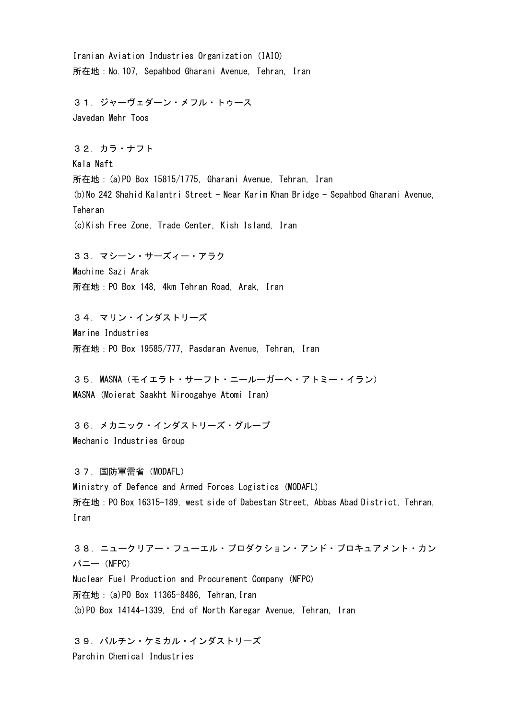Iranian Aviation Industries Organization (IAIO) 所在地:No.107, Sepahbod Gharani Avenue, Tehran, Iran 31.ジャーヴェダーン・メフル・トゥース Javedan Mehr Toos 32.カラ・ナフト Kala Naft 所在地:(a)PO Box 15815/1775, Gharani Avenue, Tehran, Iran (b)No 242 Shahid Kalantri Street - Near Karim Khan Bridge - Sepahbod Gharani Avenue, Teheran (c)Kish Free Zone, Trade Center, Kish Island, Iran 33.マシーン・サーズィー・アラク Machine Sazi Arak 所在地:PO Box 148, 4km Tehran Road, Arak, Iran 34.マリン・インダストリーズ Marine Industries 所在地:PO Box 19585/777,Pasdaran Avenue, Tehran, Iran 35.MASNA(モイエラト・サーフト・ニールーガーヘ・アトミー・イラン) MASNA (Moierat Saakht Niroogahye Atomi Iran) 36.メカニック・インダストリーズ・グループ Mechanic Industries Group 37.国防軍需省(MODAFL) Ministry of Defence and Armed Forces Logistics (MODAFL) 所在地:PO Box 16315-189, west side of Dabestan Street, Abbas Abad District, Tehran, Iran 38.ニュークリアー・フューエル・プロダクション・アンド・プロキュアメント・カン パニー (NFPC) Nuclear Fuel Production and Procurement Company (NFPC) 所在地:(a)PO Box 11365-8486, Tehran,Iran (b)PO Box 14144-1339, End of North Karegar Avenue, Tehran, Iran

39.パルチン・ケミカル・インダストリーズ Parchin Chemical Industries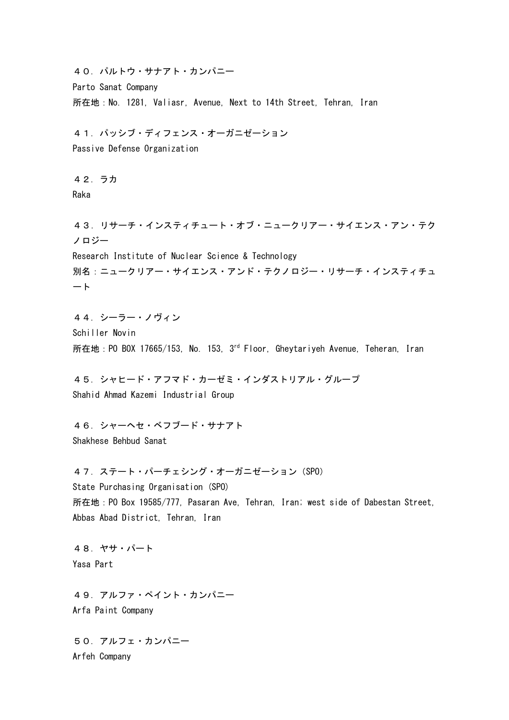40.パルトウ・サナアト・カンパニー Parto Sanat Company 所在地:No. 1281, Valiasr, Avenue, Next to 14th Street, Tehran, Iran 41.パッシブ・ディフェンス・オーガニゼーション Passive Defense Organization 42.ラカ Raka 43.リサーチ・インスティチュート・オブ・ニュークリアー・サイエンス・アン・テク ノロジー Research Institute of Nuclear Science & Technology 別名:ニュークリアー・サイエンス・アンド・テクノロジー・リサーチ・インスティチュ ート 44.シーラー・ノヴィン Schiller Novin 所在地: PO BOX 17665/153, No. 153, 3<sup>rd</sup> Floor, Gheytariyeh Avenue, Teheran, Iran 45.シャヒード・アフマド・カーゼミ・インダストリアル・グループ Shahid Ahmad Kazemi Industrial Group 46.シャーヘセ・ベフブード・サナアト Shakhese Behbud Sanat 47.ステート・パーチェシング・オーガニゼーション(SPO) State Purchasing Organisation (SPO) 所在地:PO Box 19585/777, Pasaran Ave, Tehran, Iran; west side of Dabestan Street, Abbas Abad District, Tehran, Iran 48.ヤサ・パート Yasa Part 49.アルファ・ペイント・カンパニー Arfa Paint Company 50.アルフェ・カンパニー

Arfeh Company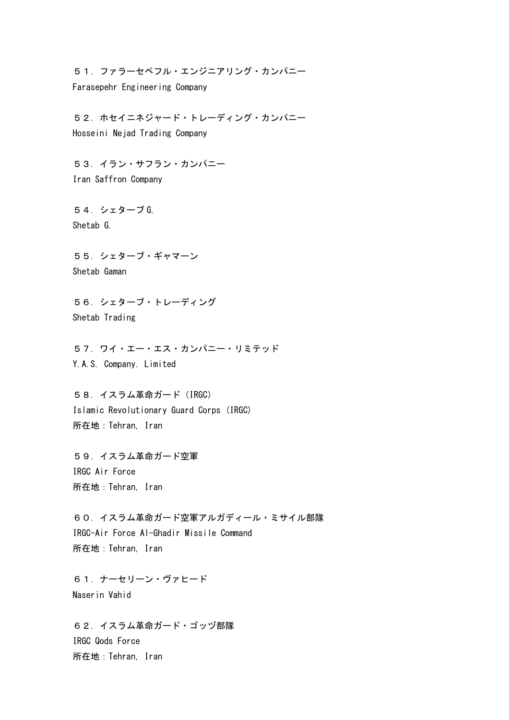51.ファラーセペフル・エンジニアリング・カンパニー Farasepehr Engineering Company

52.ホセイニネジャード・トレーディング・カンパニー Hosseini Nejad Trading Company

53.イラン・サフラン・カンパニー Iran Saffron Company

54.シェターブ G. Shetab G.

55.シェターブ・ギャマーン Shetab Gaman

56.シェターブ・トレーディング Shetab Trading

57.ワイ・エー・エス・カンパニー・リミテッド Y.A.S. Company. Limited

58. イスラム革命ガード (IRGC) Islamic Revolutionary Guard Corps (IRGC) 所在地:Tehran, Iran

59.イスラム革命ガード空軍 IRGC Air Force 所在地:Tehran, Iran

60.イスラム革命ガード空軍アルガディール・ミサイル部隊 IRGC-Air Force Al-Ghadir Missile Command 所在地:Tehran, Iran

61.ナーセリーン・ヴァヒード Naserin Vahid

62.イスラム革命ガード・ゴッヅ部隊 IRGC Qods Force 所在地:Tehran, Iran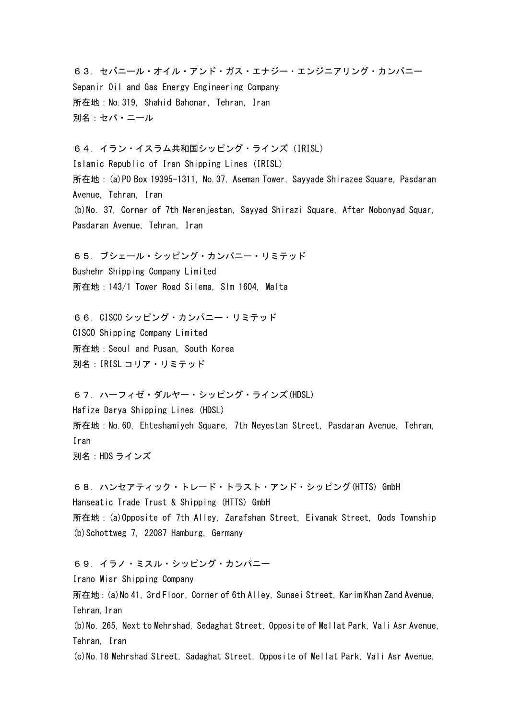63.セパニール・オイル・アンド・ガス・エナジー・エンジニアリング・カンパニー Sepanir Oil and Gas Energy Engineering Company 所在地:No.319, Shahid Bahonar, Tehran, Iran 別名:セパ・ニール

64.イラン・イスラム共和国シッピング・ラインズ(IRISL) Islamic Republic of Iran Shipping Lines (IRISL) 所在地:(a)PO Box 19395-1311, No.37, Aseman Tower, Sayyade Shirazee Square, Pasdaran Avenue, Tehran, Iran (b)No. 37, Corner of 7th Nerenjestan, Sayyad Shirazi Square, After Nobonyad Squar, Pasdaran Avenue, Tehran, Iran

65.ブシェール・シッピング・カンパニー・リミテッド Bushehr Shipping Company Limited 所在地:143/1 Tower Road Silema, Slm 1604, Malta

66.CISCO シッピング・カンパニー・リミテッド CISCO Shipping Company Limited 所在地:Seoul and Pusan, South Korea 別名:IRISL コリア・リミテッド

67.ハーフィゼ・ダルヤー・シッピング・ラインズ(HDSL) Hafize Darya Shipping Lines (HDSL) 所在地:No.60, Ehteshamiyeh Square, 7th Neyestan Street, Pasdaran Avenue, Tehran, Iran 別名:HDS ラインズ

68.ハンセアティック・トレード・トラスト・アンド・シッピング(HTTS) GmbH Hanseatic Trade Trust & Shipping (HTTS) GmbH 所在地:(a)Opposite of 7th Alley, Zarafshan Street, Eivanak Street, Qods Township (b) Schottweg 7, 22087 Hamburg, Germany

69.イラノ・ミスル・シッピング・カンパニー

Irano Misr Shipping Company

所在地:(a)No 41, 3rd Floor, Corner of 6th Alley, Sunaei Street, Karim Khan Zand Avenue, Tehran,Iran

(b)No. 265, Next to Mehrshad, Sedaghat Street, Opposite of Mellat Park, Vali Asr Avenue, Tehran, Iran

(c)No.18 Mehrshad Street, Sadaghat Street, Opposite of Mellat Park, Vali Asr Avenue,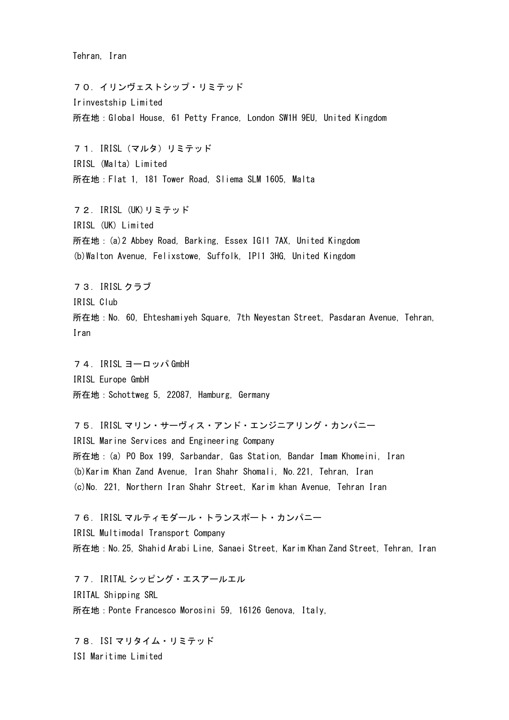Tehran, Iran

70.イリンヴェストシップ・リミテッド Irinvestship Limited 所在地:Global House, 61 Petty France, London SW1H 9EU, United Kingdom 71.IRISL(マルタ)リミテッド IRISL (Malta) Limited 所在地:Flat 1, 181 Tower Road, Sliema SLM 1605, Malta 72.IRISL (UK)リミテッド IRISL (UK) Limited 所在地:(a)2 Abbey Road, Barking, Essex IGl1 7AX, United Kingdom (b)Walton Avenue, Felixstowe, Suffolk, IPl1 3HG, United Kingdom 73.IRISL クラブ IRISL Club 所在地:No. 60, Ehteshamiyeh Square, 7th Neyestan Street, Pasdaran Avenue, Tehran, Iran 74.IRISL ヨーロッパ GmbH IRISL Europe GmbH 所在地:Schottweg 5, 22087, Hamburg, Germany 75.IRISL マリン・サーヴィス・アンド・エンジニアリング・カンパニー IRISL Marine Services and Engineering Company 所在地:(a) PO Box 199, Sarbandar, Gas Station, Bandar Imam Khomeini, Iran (b)Karim Khan Zand Avenue, Iran Shahr Shomali, No.221, Tehran, Iran (c)No. 221, Northern Iran Shahr Street, Karim khan Avenue, Tehran Iran 76.IRISL マルティモダール・トランスポート・カンパニー IRISL Multimodal Transport Company 所在地:No.25, Shahid Arabi Line, Sanaei Street, Karim Khan Zand Street, Tehran, Iran 77.IRITAL シッピング・エスアールエル

IRITAL Shipping SRL 所在地:Ponte Francesco Morosini 59, 16126 Genova, Italy,

78.ISI マリタイム・リミテッド ISI Maritime Limited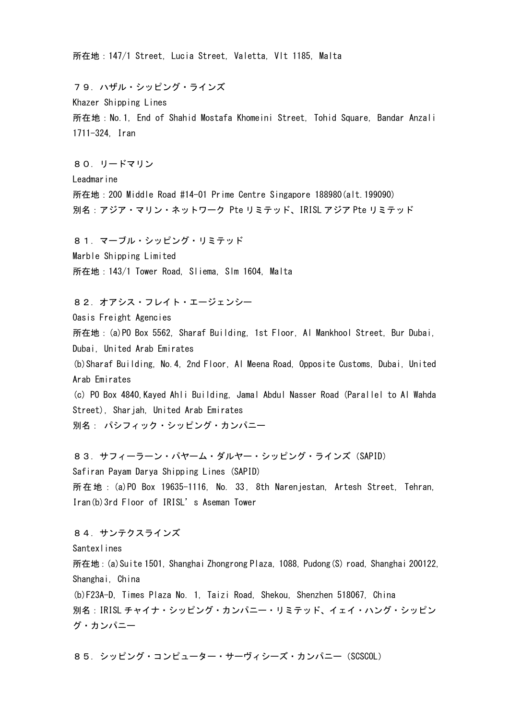所在地:147/1 Street, Lucia Street, Valetta, Vlt 1185, Malta

79.ハザル・シッピング・ラインズ Khazer Shipping Lines 所在地:No.1, End of Shahid Mostafa Khomeini Street, Tohid Square, Bandar Anzali 1711-324, Iran

80.リードマリン Leadmarine 所在地:200 Middle Road #14-01 Prime Centre Singapore 188980(alt.199090) 別名:アジア・マリン・ネットワーク Pte リミテッド、IRISL アジア Pte リミテッド

81.マーブル・シッピング・リミテッド Marble Shipping Limited 所在地:143/1 Tower Road, Sliema, Slm 1604, Malta

82. オアシス・フレイト・エージェンシー Oasis Freight Agencies 所在地:(a)PO Box 5562, Sharaf Building, 1st Floor, Al Mankhool Street, Bur Dubai, Dubai, United Arab Emirates (b)Sharaf Building, No.4, 2nd Floor, Al Meena Road, Opposite Customs, Dubai, United Arab Emirates (c) PO Box 4840,Kayed Ahli Building, Jamal Abdul Nasser Road (Parallel to Al Wahda Street), Sharjah, United Arab Emirates 別名: パシフィック・シッピング・カンパニー

83.サフィーラーン・パヤーム・ダルヤー・シッピング・ラインズ(SAPID) Safiran Payam Darya Shipping Lines (SAPID) 所在地: (a)PO Box 19635-1116, No. 33, 8th Narenjestan, Artesh Street, Tehran, Iran(b)3rd Floor of IRISL's Aseman Tower

84.サンテクスラインズ **Santexlines** 所在地:(a)Suite 1501, Shanghai Zhongrong Plaza, 1088, Pudong(S) road, Shanghai 200122, Shanghai, China (b)F23A-D, Times Plaza No. 1, Taizi Road, Shekou, Shenzhen 518067, China 別名:IRISL チャイナ・シッピング・カンパニー・リミテッド、イェイ・ハング・シッピン グ・カンパニー

85.シッピング・コンピューター・サーヴィシーズ・カンパニー(SCSCOL)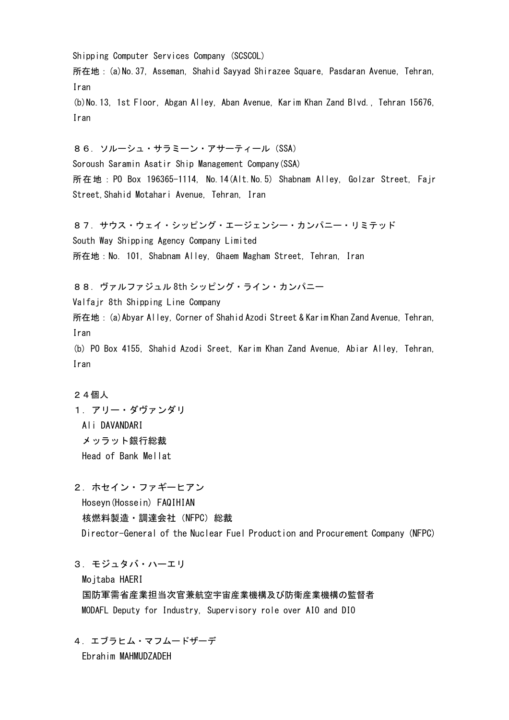Shipping Computer Services Company (SCSCOL) 所在地:(a)No.37, Asseman, Shahid Sayyad Shirazee Square, Pasdaran Avenue, Tehran, Iran (b)No.13, 1st Floor, Abgan Alley, Aban Avenue, Karim Khan Zand Blvd., Tehran 15676, Iran 86.ソルーシュ・サラミーン・アサーティール(SSA) Soroush Saramin Asatir Ship Management Company(SSA) 所在地: PO Box 196365-1114, No.14(Alt.No.5) Shabnam Alley, Golzar Street, Fajr Street, Shahid Motahari Avenue, Tehran, Iran 87.サウス・ウェイ・シッピング・エージェンシー・カンパニー・リミテッド South Way Shipping Agency Company Limited 所在地:No. 101, Shabnam Alley, Ghaem Magham Street, Tehran, Iran 88.ヴァルファジュル 8th シッピング・ライン・カンパニー Valfajr 8th Shipping Line Company 所在地:(a)Abyar Alley, Corner of Shahid Azodi Street & Karim Khan Zand Avenue, Tehran, Iran (b) PO Box 4155, Shahid Azodi Sreet, Karim Khan Zand Avenue, Abiar Alley, Tehran, Iran

## 24個人

1.アリー・ダヴァンダリ Ali DAVANDARI メッラット銀行総裁 Head of Bank Mellat

2.ホセイン・ファギーヒアン Hoseyn(Hossein) FAQIHIAN 核燃料製造・調達会社(NFPC)総裁 Director-General of the Nuclear Fuel Production and Procurement Company (NFPC)

3.モジュタバ・ハーエリ

Mojtaba HAERI

国防軍需省産業担当次官兼航空宇宙産業機構及び防衛産業機構の監督者 MODAFL Deputy for Industry, Supervisory role over AIO and DIO

4.エブラヒム・マフムードザーデ Ebrahim MAHMUDZADEH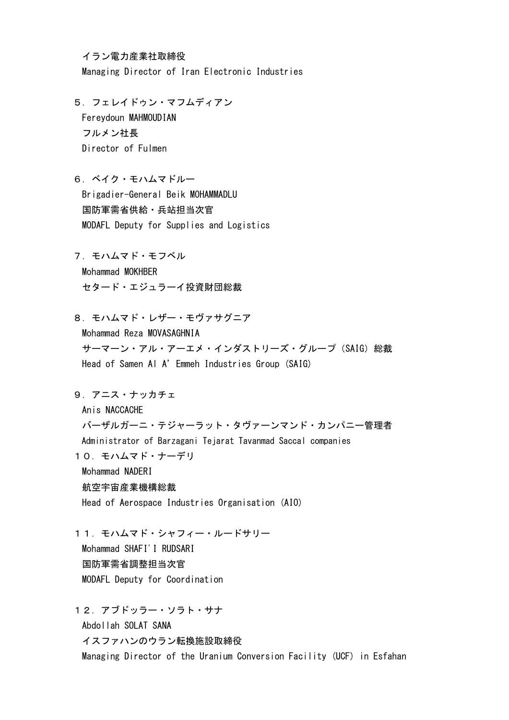イラン電力産業社取締役

Managing Director of Iran Electronic Industries

5.フェレイドゥン・マフムディアン Fereydoun MAHMOUDIAN フルメン社長 Director of Fulmen

6.ベイク・モハムマドルー Brigadier-General Beik MOHAMMADLU 国防軍需省供給・兵站担当次官 MODAFL Deputy for Supplies and Logistics

7.モハムマド・モフベル Mohammad MOKHBER

セタード・エジュラーイ投資財団総裁

8.モハムマド・レザー・モヴァサグニア

Mohammad Reza MOVASAGHNIA サーマーン・アル・アーエメ・インダストリーズ・グループ(SAIG)総裁 Head of Samen Al A'Emmeh Industries Group (SAIG)

9.アニス・ナッカチェ

Anis NACCACHE

バーザルガーニ・テジャーラット・タヴァーンマンド・カンパニー管理者 Administrator of Barzagani Tejarat Tavanmad Saccal companies

10.モハムマド・ナーデリ

Mohammad NADERI

## 航空宇宙産業機構総裁

Head of Aerospace Industries Organisation (AIO)

11.モハムマド・シャフィー・ルードサリー Mohammad SHAFI'I RUDSARI 国防軍需省調整担当次官 MODAFL Deputy for Coordination

12.アブドッラー・ソラト・サナ Abdollah SOLAT SANA イスファハンのウラン転換施設取締役 Managing Director of the Uranium Conversion Facility (UCF) in Esfahan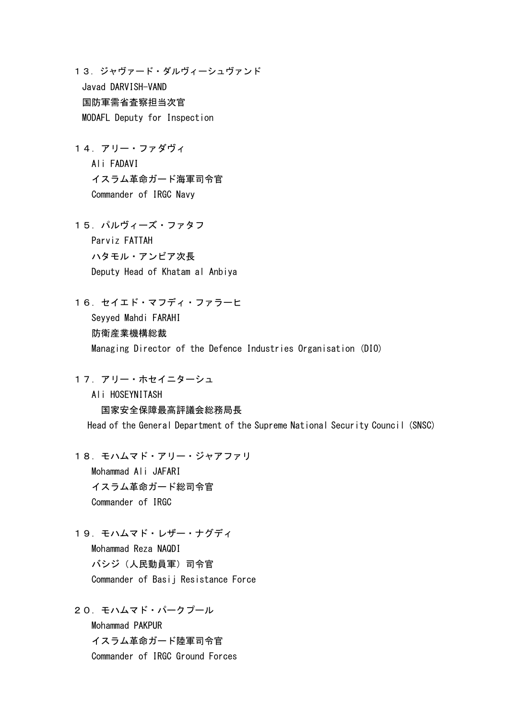13.ジャヴァード・ダルヴィーシュヴァンド Javad DARVISH-VAND 国防軍需省査察担当次官 MODAFL Deputy for Inspection

14.アリー・ファダヴィ Ali FADAVI イスラム革命ガード海軍司令官 Commander of IRGC Navy

15.パルヴィーズ・ファタフ Parviz FATTAH ハタモル・アンビア次長 Deputy Head of Khatam al Anbiya

16.セイエド・マフディ・ファラーヒ Seyyed Mahdi FARAHI 防衛産業機構総裁 Managing Director of the Defence Industries Organisation (DIO)

17. アリー・ホセイニターシュ

Ali HOSEYNITASH 国家安全保障最高評議会総務局長 Head of the General Department of the Supreme National Security Council (SNSC)

18.モハムマド・アリー・ジャアファリ Mohammad Ali JAFARI イスラム革命ガード総司令官 Commander of IRGC

19.モハムマド・レザー・ナグディ Mohammad Reza NAQDI バシジ(人民動員軍)司令官 Commander of Basij Resistance Force

20.モハムマド・パークプール Mohammad PAKPUR イスラム革命ガード陸軍司令官 Commander of IRGC Ground Forces